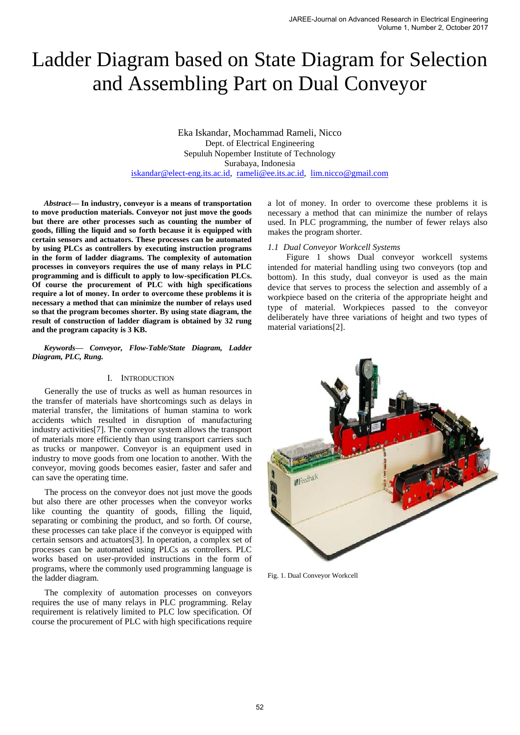# Ladder Diagram based on State Diagram for Selection and Assembling Part on Dual Conveyor

Eka Iskandar, Mochammad Rameli, Nicco Dept. of Electrical Engineering Sepuluh Nopember Institute of Technology Surabaya, Indonesia [iskandar@elect-eng.its.ac.id,](mailto:iskandar@elect-eng.its.ac.id) [rameli@ee.its.ac.id,](mailto:rameli@ee.its.ac.id) [lim.nicco@gmail.com](mailto:lim.nicco@gmail.com) 

*Abstract***— In industry, conveyor is a means of transportation to move production materials. Conveyor not just move the goods but there are other processes such as counting the number of goods, filling the liquid and so forth because it is equipped with certain sensors and actuators. These processes can be automated by using PLCs as controllers by executing instruction programs in the form of ladder diagrams. The complexity of automation processes in conveyors requires the use of many relays in PLC programming and is difficult to apply to low-specification PLCs. Of course the procurement of PLC with high specifications require a lot of money. In order to overcome these problems it is necessary a method that can minimize the number of relays used so that the program becomes shorter. By using state diagram, the result of construction of ladder diagram is obtained by 32 rung and the program capacity is 3 KB.** 

*Keywords— Conveyor, Flow-Table/State Diagram, Ladder Diagram, PLC, Rung.* 

### I. INTRODUCTION

Generally the use of trucks as well as human resources in the transfer of materials have shortcomings such as delays in material transfer, the limitations of human stamina to work accidents which resulted in disruption of manufacturing industry activities[7]. The conveyor system allows the transport of materials more efficiently than using transport carriers such as trucks or manpower. Conveyor is an equipment used in industry to move goods from one location to another. With the conveyor, moving goods becomes easier, faster and safer and can save the operating time.

The process on the conveyor does not just move the goods but also there are other processes when the conveyor works like counting the quantity of goods, filling the liquid, separating or combining the product, and so forth. Of course, these processes can take place if the conveyor is equipped with certain sensors and actuators[3]. In operation, a complex set of processes can be automated using PLCs as controllers. PLC works based on user-provided instructions in the form of programs, where the commonly used programming language is the ladder diagram.

The complexity of automation processes on conveyors requires the use of many relays in PLC programming. Relay requirement is relatively limited to PLC low specification. Of course the procurement of PLC with high specifications require

a lot of money. In order to overcome these problems it is necessary a method that can minimize the number of relays used. In PLC programming, the number of fewer relays also makes the program shorter.

#### *1.1 Dual Conveyor Workcell Systems*

Figure 1 shows Dual conveyor workcell systems intended for material handling using two conveyors (top and bottom). In this study, dual conveyor is used as the main device that serves to process the selection and assembly of a workpiece based on the criteria of the appropriate height and type of material. Workpieces passed to the conveyor deliberately have three variations of height and two types of material variations[2].



Fig. 1. Dual Conveyor Workcell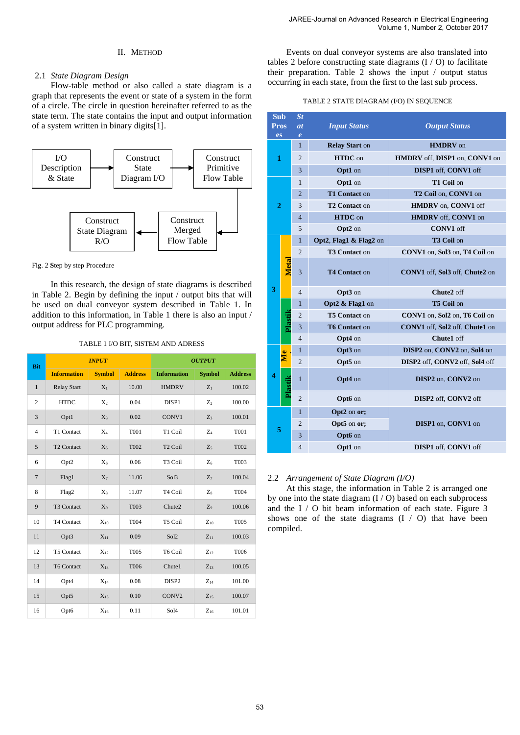## II. METHOD

## 2.1 *State Diagram Design*

Flow-table method or also called a state diagram is a graph that represents the event or state of a system in the form of a circle. The circle in question hereinafter referred to as the state term. The state contains the input and output information of a system written in binary digits[1].



Fig. 2 **S**tep by step Procedure

In this research, the design of state diagrams is described in Table 2. Begin by defining the input / output bits that will be used on dual conveyor system described in Table 1. In addition to this information, in Table 1 there is also an input / output address for PLC programming.

### TABLE 1 I/O BIT, SISTEM AND ADRESS

| <b>Bit</b>     |                        | <b>INPUT</b>   |                | <b>OUTPUT</b>       |                |                |  |
|----------------|------------------------|----------------|----------------|---------------------|----------------|----------------|--|
|                | <b>Information</b>     | <b>Symbol</b>  | <b>Address</b> | <b>Information</b>  | <b>Symbol</b>  | <b>Address</b> |  |
| $\mathbf{1}$   | <b>Relay Start</b>     | $X_1$          | 10.00          | <b>HMDRV</b>        | $Z_1$          | 100.02         |  |
| $\mathbf{2}$   | <b>HTDC</b>            | X <sub>2</sub> | 0.04           | DISP1               | Z <sub>2</sub> | 100.00         |  |
| 3              | Opt1                   | $X_3$          | 0.02           | CONV1               | $Z_3$          | 100.01         |  |
| $\overline{4}$ | T1 Contact             | $X_4$          | <b>T001</b>    | T1 Coil             | $Z_4$          | <b>T001</b>    |  |
| 5              | T <sub>2</sub> Contact | $X_5$          | <b>T002</b>    | T <sub>2</sub> Coil | $Z_5$          | T002           |  |
| 6              | Opt2                   | X <sub>6</sub> | 0.06           | T <sub>3</sub> Coil | Z <sub>6</sub> | T003           |  |
| $\overline{7}$ | Flag1                  | $X_7$          | 11.06          | Sol3                | $Z_7$          | 100.04         |  |
| 8              | Flag2                  | $X_8$          | 11.07          | T <sub>4</sub> Coil | $Z_8$          | T004           |  |
| 9              | T3 Contact             | X <sub>9</sub> | T003           | Chute2              | Z <sub>9</sub> | 100.06         |  |
| 10             | T4 Contact             | $X_{10}$       | T004           | T5 Coil             | $Z_{10}$       | <b>T005</b>    |  |
| 11             | Opt3                   | $X_{11}$       | 0.09           | Sol <sub>2</sub>    | $Z_{11}$       | 100.03         |  |
| 12             | T5 Contact             | $X_{12}$       | <b>T005</b>    | T6 Coil             | $Z_{12}$       | T006           |  |
| 13             | <b>T6 Contact</b>      | $X_{13}$       | <b>T006</b>    | Chute1              | $Z_{13}$       | 100.05         |  |
| 14             | Opt4                   | $X_{14}$       | 0.08           | DISP <sub>2</sub>   | $Z_{14}$       | 101.00         |  |
| 15             | Opt5                   | $X_{15}$       | 0.10           | CONV <sub>2</sub>   | $Z_{15}$       | 100.07         |  |
| 16             | Opt6                   | $X_{16}$       | 0.11           | Sol4                | $Z_{16}$       | 101.01         |  |

Events on dual conveyor systems are also translated into tables 2 before constructing state diagrams (I / O) to facilitate their preparation. Table 2 shows the input  $\ell$  output status occurring in each state, from the first to the last sub process.

### TABLE 2 STATE DIAGRAM (I/O) IN SEQUENCE

| <b>Sub</b>               |              | St                               |                           |                                   |  |  |
|--------------------------|--------------|----------------------------------|---------------------------|-----------------------------------|--|--|
| <b>Pros</b><br><b>es</b> |              | <i>at</i><br>$\boldsymbol{\ell}$ | <b>Input Status</b>       | <b>Output Status</b>              |  |  |
| $\mathbf{1}$             |              | $\mathbf{1}$                     | <b>Relay Start on</b>     | <b>HMDRV</b> on                   |  |  |
|                          |              | $\overline{2}$                   | HTDC on                   | HMDRV off, DISP1 on, CONV1 on     |  |  |
|                          |              | 3                                | Opt1 on                   | DISP1 off, CONV1 off              |  |  |
|                          |              | 1                                | Opt1 on                   | T1 Coil on                        |  |  |
|                          |              | $\overline{2}$                   | T1 Contact on             | T2 Coil on, CONV1 on              |  |  |
| 2                        |              | 3                                | T <sub>2</sub> Contact on | <b>HMDRV</b> on, <b>CONV1</b> off |  |  |
|                          |              | $\overline{4}$                   | <b>HTDC</b> on            | HMDRV off, CONV1 on               |  |  |
|                          |              | 5                                | Opt2 on                   | <b>CONV1</b> off                  |  |  |
|                          |              | $\mathbf{1}$                     | Opt2, Flag1 & Flag2 on    | T3 Coil on                        |  |  |
|                          |              | $\overline{2}$                   | <b>T3 Contact on</b>      | CONV1 on, Sol3 on, T4 Coil on     |  |  |
|                          | <b>Metal</b> | 3                                | <b>T4 Contact on</b>      | CONV1 off, Sol3 off, Chute2 on    |  |  |
| 3                        |              | $\overline{4}$                   | Opt3 on                   | Chute2 off                        |  |  |
|                          |              | $\mathbf{1}$                     | Opt2 & Flag1 on           | T5 Coil on                        |  |  |
|                          | Plastik      | $\overline{2}$                   | T5 Contact on             | CONV1 on, Sol2 on, T6 Coil on     |  |  |
|                          |              | 3                                | <b>T6 Contact on</b>      | CONV1 off, Sol2 off, Chute1 on    |  |  |
|                          |              | $\overline{4}$                   | Opt4 on                   | Chute1 off                        |  |  |
|                          |              | 1                                | Opt3 on                   | DISP2 on, CONV2 on, Sol4 on       |  |  |
|                          | Me           | $\overline{2}$                   | Opt5 on                   | DISP2 off, CONV2 off, Sol4 off    |  |  |
| 4                        | Plastik      | $\mathbf{1}$                     | Opt4 on                   | DISP2 on, CONV2 on                |  |  |
|                          |              | $\overline{2}$                   | Opt6 on                   | DISP2 off, CONV2 off              |  |  |
|                          |              | $\mathbf{1}$                     | Opt2 on or;               |                                   |  |  |
|                          |              | 2                                | Opt5 on or;               | DISP1 on, CONV1 on                |  |  |
| 5                        |              | 3                                | Opt6 on                   |                                   |  |  |
|                          |              | $\overline{4}$                   | Opt1 on                   | DISP1 off, CONV1 off              |  |  |

#### 2.2 *Arrangement of State Diagram (I/O)*

At this stage, the information in Table 2 is arranged one by one into the state diagram (I / O) based on each subprocess and the I / O bit beam information of each state. Figure 3 shows one of the state diagrams  $(I / O)$  that have been compiled.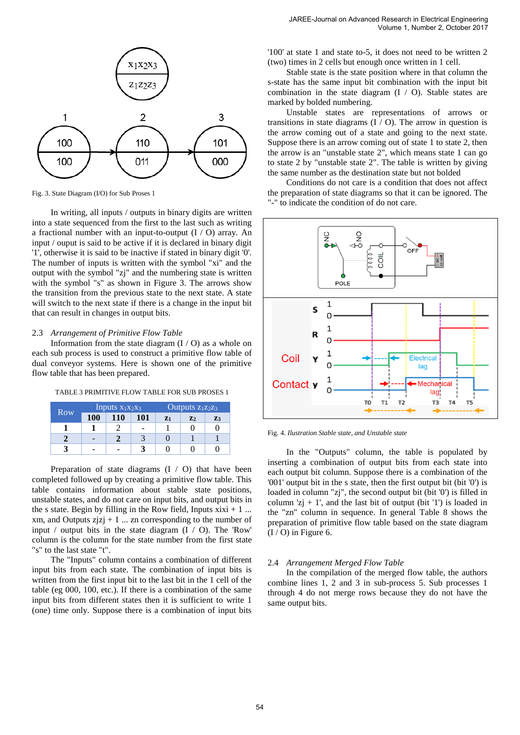

Fig. 3. State Diagram (I/O) for Sub Proses 1

In writing, all inputs / outputs in binary digits are written into a state sequenced from the first to the last such as writing a fractional number with an input-to-output  $(I / O)$  array. An input / ouput is said to be active if it is declared in binary digit '1', otherwise it is said to be inactive if stated in binary digit '0'. The number of inputs is written with the symbol "xi" and the output with the symbol "zj" and the numbering state is written with the symbol "s" as shown in Figure 3. The arrows show the transition from the previous state to the next state. A state will switch to the next state if there is a change in the input bit that can result in changes in output bits.

#### 2.3 *Arrangement of Primitive Flow Table*

Information from the state diagram  $(I / O)$  as a whole on each sub process is used to construct a primitive flow table of dual conveyor systems. Here is shown one of the primitive flow table that has been prepared.

TABLE 3 PRIMITIVE FLOW TABLE FOR SUB PROSES 1

| <b>Row</b> | Inputs $\overline{x_1x_2x_3}$ |            |     | Outputs $z_1z_2z_3$ |               |                |
|------------|-------------------------------|------------|-----|---------------------|---------------|----------------|
|            | <b>100</b>                    | <b>110</b> | 101 | $Z_1$               | $\mathbf{Z}2$ | Z <sub>3</sub> |
|            |                               |            |     |                     |               |                |
|            |                               |            |     |                     |               |                |
|            |                               |            |     |                     |               |                |

Preparation of state diagrams (I / O) that have been completed followed up by creating a primitive flow table. This table contains information about stable state positions, unstable states, and do not care on input bits, and output bits in the s state. Begin by filling in the Row field, Inputs  $xixi + 1$  ... xm, and Outputs  $zjzj + 1$  ... zn corresponding to the number of input / output bits in the state diagram (I / O). The 'Row' column is the column for the state number from the first state "s" to the last state "t".

The "Inputs" column contains a combination of different input bits from each state. The combination of input bits is written from the first input bit to the last bit in the 1 cell of the table (eg 000, 100, etc.). If there is a combination of the same input bits from different states then it is sufficient to write 1 (one) time only. Suppose there is a combination of input bits

'100' at state 1 and state to-5, it does not need to be written 2 (two) times in 2 cells but enough once written in 1 cell.

Stable state is the state position where in that column the s-state has the same input bit combination with the input bit combination in the state diagram (I / O). Stable states are marked by bolded numbering.

Unstable states are representations of arrows or transitions in state diagrams  $(I / O)$ . The arrow in question is the arrow coming out of a state and going to the next state. Suppose there is an arrow coming out of state 1 to state 2, then the arrow is an "unstable state 2", which means state 1 can go to state 2 by "unstable state 2". The table is written by giving the same number as the destination state but not bolded

Conditions do not care is a condition that does not affect the preparation of state diagrams so that it can be ignored. The "-" to indicate the condition of do not care.



Fig. 4. *Ilustration Stable state, and Unstable state*

In the "Outputs" column, the table is populated by inserting a combination of output bits from each state into each output bit column. Suppose there is a combination of the '001' output bit in the s state, then the first output bit (bit '0') is loaded in column "zj", the second output bit (bit '0') is filled in column 'zj  $+1$ ', and the last bit of output (bit '1') is loaded in the "zn" column in sequence. In general Table 8 shows the preparation of primitive flow table based on the state diagram  $(I / O)$  in Figure 6.

#### 2.4 *Arrangement Merged Flow Table*

In the compilation of the merged flow table, the authors combine lines 1, 2 and 3 in sub-process 5. Sub processes 1 through 4 do not merge rows because they do not have the same output bits.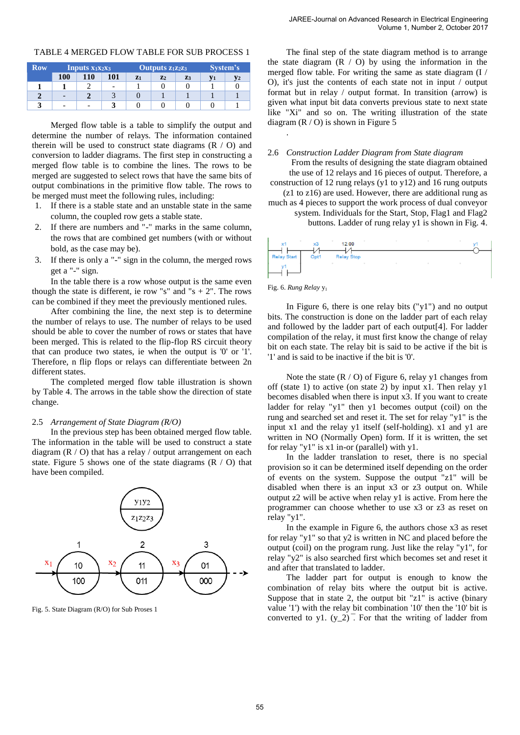| Row | <b>Inputs</b> $x_1x_2x_3$ |     | Outputs z <sub>1</sub> z <sub>2</sub> z <sub>3</sub> |       |                | System's |  |  |
|-----|---------------------------|-----|------------------------------------------------------|-------|----------------|----------|--|--|
|     | <b>100</b>                | 110 | 101                                                  | $Z_1$ | $\mathbf{z}_2$ | Z3       |  |  |
|     |                           |     | -                                                    |       |                |          |  |  |
|     |                           |     |                                                      |       |                |          |  |  |
|     | -                         |     |                                                      |       |                |          |  |  |

TABLE 4 MERGED FLOW TABLE FOR SUB PROCESS 1

Merged flow table is a table to simplify the output and determine the number of relays. The information contained therein will be used to construct state diagrams  $(R / O)$  and conversion to ladder diagrams. The first step in constructing a merged flow table is to combine the lines. The rows to be merged are suggested to select rows that have the same bits of output combinations in the primitive flow table. The rows to be merged must meet the following rules, including:

- 1. If there is a stable state and an unstable state in the same column, the coupled row gets a stable state.
- 2. If there are numbers and "-" marks in the same column, the rows that are combined get numbers (with or without bold, as the case may be).
- 3. If there is only a "-" sign in the column, the merged rows get a "-" sign.

In the table there is a row whose output is the same even though the state is different, ie row "s" and "s  $+ 2$ ". The rows can be combined if they meet the previously mentioned rules.

After combining the line, the next step is to determine the number of relays to use. The number of relays to be used should be able to cover the number of rows or states that have been merged. This is related to the flip-flop RS circuit theory that can produce two states, ie when the output is '0' or '1'. Therefore, n flip flops or relays can differentiate between 2n different states.

The completed merged flow table illustration is shown by Table 4. The arrows in the table show the direction of state change.

## 2.5 *Arrangement of State Diagram (R/O)*

In the previous step has been obtained merged flow table. The information in the table will be used to construct a state diagram (R / O) that has a relay / output arrangement on each state. Figure 5 shows one of the state diagrams  $(R / O)$  that have been compiled.



Fig. 5. State Diagram (R/O) for Sub Proses 1

The final step of the state diagram method is to arrange the state diagram  $(R / O)$  by using the information in the merged flow table. For writing the same as state diagram (I / O), it's just the contents of each state not in input / output format but in relay / output format. In transition (arrow) is given what input bit data converts previous state to next state like "Xi" and so on. The writing illustration of the state diagram  $(R / O)$  is shown in Figure 5

2.6 *Construction Ladder Diagram from State diagram* 

From the results of designing the state diagram obtained

the use of 12 relays and 16 pieces of output. Therefore, a construction of 12 rung relays (y1 to y12) and 16 rung outputs

(z1 to z16) are used. However, there are additional rung as much as 4 pieces to support the work process of dual conveyor

system. Individuals for the Start, Stop, Flag1 and Flag2

buttons. Ladder of rung relay y1 is shown in Fig. 4.



#### Fig. 6. *Rung Relay* y<sup>1</sup>

.

In Figure 6, there is one relay bits ("y1") and no output bits. The construction is done on the ladder part of each relay and followed by the ladder part of each output[4]. For ladder compilation of the relay, it must first know the change of relay bit on each state. The relay bit is said to be active if the bit is '1' and is said to be inactive if the bit is '0'.

Note the state  $(R / O)$  of Figure 6, relay y1 changes from off (state 1) to active (on state 2) by input x1. Then relay y1 becomes disabled when there is input x3. If you want to create ladder for relay "y1" then y1 becomes output (coil) on the rung and searched set and reset it. The set for relay "y1" is the input x1 and the relay y1 itself (self-holding). x1 and y1 are written in NO (Normally Open) form. If it is written, the set for relay "y1" is x1 in-or (parallel) with y1.

In the ladder translation to reset, there is no special provision so it can be determined itself depending on the order of events on the system. Suppose the output "z1" will be disabled when there is an input x3 or z3 output on. While output z2 will be active when relay y1 is active. From here the programmer can choose whether to use x3 or z3 as reset on relay "y1".

In the example in Figure 6, the authors chose x3 as reset for relay "y1" so that y2 is written in NC and placed before the output (coil) on the program rung. Just like the relay "y1", for relay "y2" is also searched first which becomes set and reset it and after that translated to ladder.

The ladder part for output is enough to know the combination of relay bits where the output bit is active. Suppose that in state 2, the output bit "z1" is active (binary value '1') with the relay bit combination '10' then the '10' bit is converted to y1.  $(y_2)$ <sup> $\overline{)}$ </sup>. For that the writing of ladder from